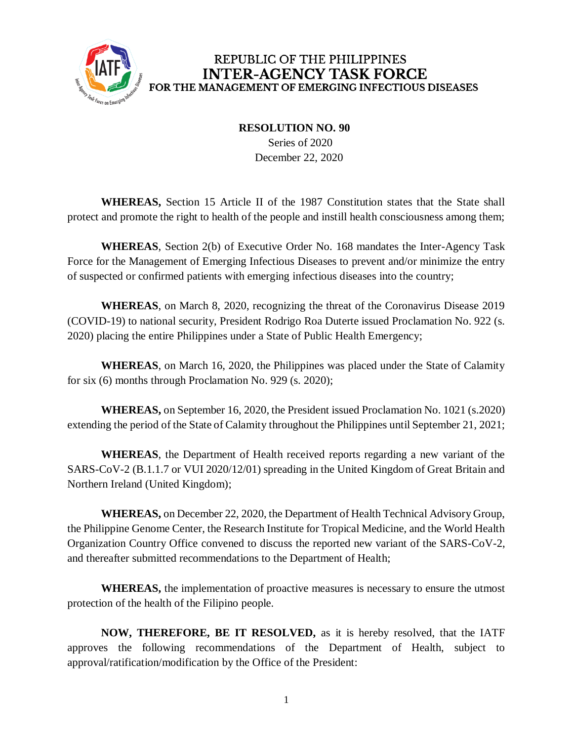

## REPUBLIC OF THE PHILIPPINES **INTER-AGENCY TASK FORCE** FOR THE MANAGEMENT OF EMERGING INFECTIOUS DISEASES

**RESOLUTION NO. 90**

 Series of 2020 December 22, 2020

**WHEREAS,** Section 15 Article II of the 1987 Constitution states that the State shall protect and promote the right to health of the people and instill health consciousness among them;

**WHEREAS**, Section 2(b) of Executive Order No. 168 mandates the Inter-Agency Task Force for the Management of Emerging Infectious Diseases to prevent and/or minimize the entry of suspected or confirmed patients with emerging infectious diseases into the country;

**WHEREAS**, on March 8, 2020, recognizing the threat of the Coronavirus Disease 2019 (COVID-19) to national security, President Rodrigo Roa Duterte issued Proclamation No. 922 (s. 2020) placing the entire Philippines under a State of Public Health Emergency;

**WHEREAS**, on March 16, 2020, the Philippines was placed under the State of Calamity for six (6) months through Proclamation No. 929 (s. 2020);

**WHEREAS,** on September 16, 2020, the President issued Proclamation No. 1021 (s.2020) extending the period of the State of Calamity throughout the Philippines until September 21, 2021;

**WHEREAS**, the Department of Health received reports regarding a new variant of the SARS-CoV-2 (B.1.1.7 or VUI 2020/12/01) spreading in the United Kingdom of Great Britain and Northern Ireland (United Kingdom);

**WHEREAS,** on December 22, 2020, the Department of Health Technical Advisory Group, the Philippine Genome Center, the Research Institute for Tropical Medicine, and the World Health Organization Country Office convened to discuss the reported new variant of the SARS-CoV-2, and thereafter submitted recommendations to the Department of Health;

**WHEREAS,** the implementation of proactive measures is necessary to ensure the utmost protection of the health of the Filipino people.

**NOW, THEREFORE, BE IT RESOLVED,** as it is hereby resolved, that the IATF approves the following recommendations of the Department of Health, subject to approval/ratification/modification by the Office of the President: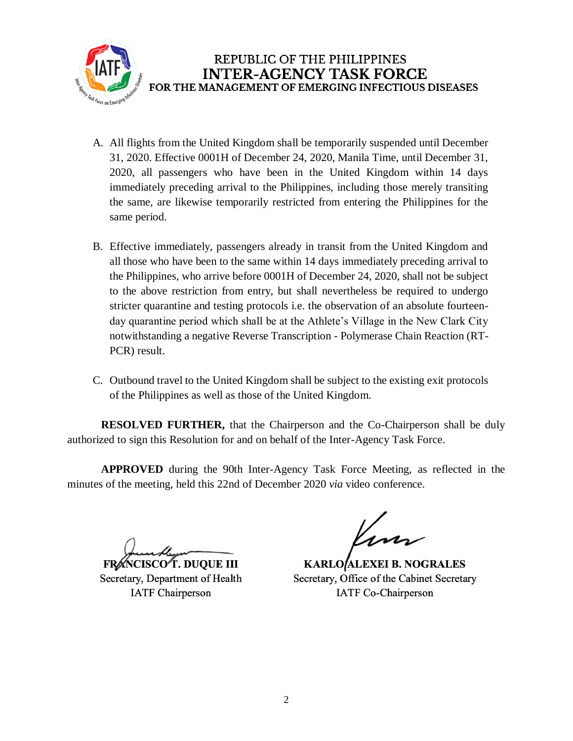

- A. All flights from the United Kingdom shall be temporarily suspended until December 31, 2020. Effective 0001H of December 24, 2020, Manila Time, until December 31, 2020, all passengers who have been in the United Kingdom within 14 days immediately preceding arrival to the Philippines, including those merely transiting the same, are likewise temporarily restricted from entering the Philippines for the same period.
- B. Effective immediately, passengers already in transit from the United Kingdom and all those who have been to the same within 14 days immediately preceding arrival to the Philippines, who arrive before 0001H of December 24, 2020, shall not be subject to the above restriction from entry, but shall nevertheless be required to undergo stricter quarantine and testing protocols i.e. the observation of an absolute fourteenday quarantine period which shall be at the Athlete's Village in the New Clark City notwithstanding a negative Reverse Transcription - Polymerase Chain Reaction (RT-PCR) result.
- C. Outbound travel to the United Kingdom shall be subject to the existing exit protocols of the Philippines as well as those of the United Kingdom.

**RESOLVED FURTHER,** that the Chairperson and the Co-Chairperson shall be duly authorized to sign this Resolution for and on behalf of the Inter-Agency Task Force.

**APPROVED** during the 90th Inter-Agency Task Force Meeting, as reflected in the minutes of the meeting, held this 22nd of December 2020 *via* video conference.

**FRANCISCO T. DUOUE III** 

Secretary, Department of Health **IATF Chairperson** 

**KARLO ALEXEI B. NOGRALES** Secretary, Office of the Cabinet Secretary **IATF Co-Chairperson**